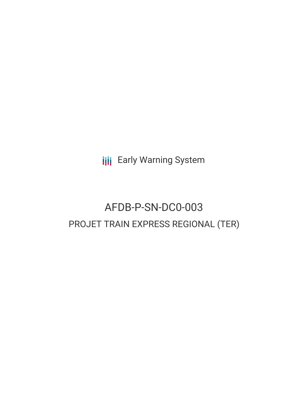**III** Early Warning System

# AFDB-P-SN-DC0-003 PROJET TRAIN EXPRESS REGIONAL (TER)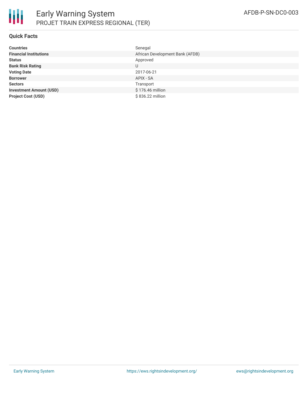

### **Quick Facts**

| <b>Countries</b>               | Senegal                         |
|--------------------------------|---------------------------------|
| <b>Financial Institutions</b>  | African Development Bank (AFDB) |
| <b>Status</b>                  | Approved                        |
| <b>Bank Risk Rating</b>        | U                               |
| <b>Voting Date</b>             | 2017-06-21                      |
| <b>Borrower</b>                | APIX - SA                       |
| <b>Sectors</b>                 | Transport                       |
| <b>Investment Amount (USD)</b> | \$176.46 million                |
| <b>Project Cost (USD)</b>      | \$836.22 million                |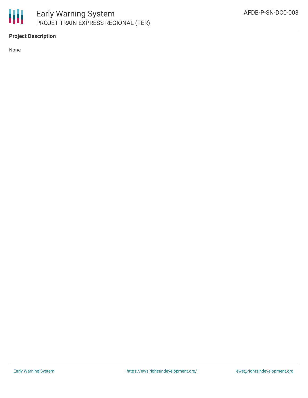

## **Project Description**

None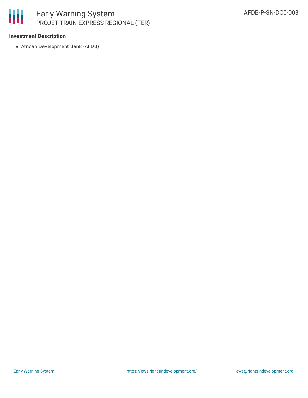

#### **Investment Description**

African Development Bank (AFDB)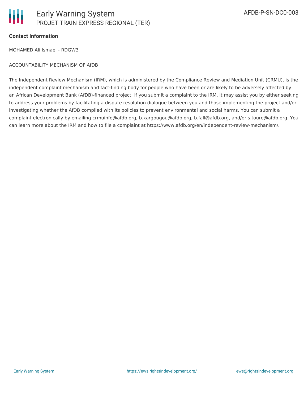#### **Contact Information**

MOHAMED Ali Ismael - RDGW3

#### ACCOUNTABILITY MECHANISM OF AfDB

The Independent Review Mechanism (IRM), which is administered by the Compliance Review and Mediation Unit (CRMU), is the independent complaint mechanism and fact-finding body for people who have been or are likely to be adversely affected by an African Development Bank (AfDB)-financed project. If you submit a complaint to the IRM, it may assist you by either seeking to address your problems by facilitating a dispute resolution dialogue between you and those implementing the project and/or investigating whether the AfDB complied with its policies to prevent environmental and social harms. You can submit a complaint electronically by emailing crmuinfo@afdb.org, b.kargougou@afdb.org, b.fall@afdb.org, and/or s.toure@afdb.org. You can learn more about the IRM and how to file a complaint at https://www.afdb.org/en/independent-review-mechanism/.